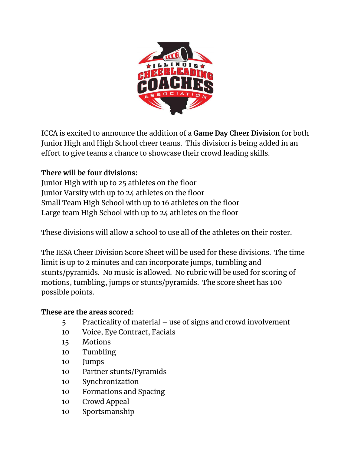

ICCA is excited to announce the addition of a **Game Day Cheer Division** for both Junior High and High School cheer teams. This division is being added in an effort to give teams a chance to showcase their crowd leading skills.

## **There will be four divisions:**

Junior High with up to 25 athletes on the floor Junior Varsity with up to 24 athletes on the floor Small Team High School with up to 16 athletes on the floor Large team High School with up to 24 athletes on the floor

These divisions will allow a school to use all of the athletes on their roster.

The IESA Cheer Division Score Sheet will be used for these divisions. The time limit is up to 2 minutes and can incorporate jumps, tumbling and stunts/pyramids. No music is allowed. No rubric will be used for scoring of motions, tumbling, jumps or stunts/pyramids. The score sheet has 100 possible points.

## **These are the areas scored:**

- 5 Practicality of material use of signs and crowd involvement
- 10 Voice, Eye Contract, Facials
- 15 Motions
- 10 Tumbling
- 10 Jumps
- 10 Partner stunts/Pyramids
- 10 Synchronization
- 10 Formations and Spacing
- 10 Crowd Appeal
- 10 Sportsmanship